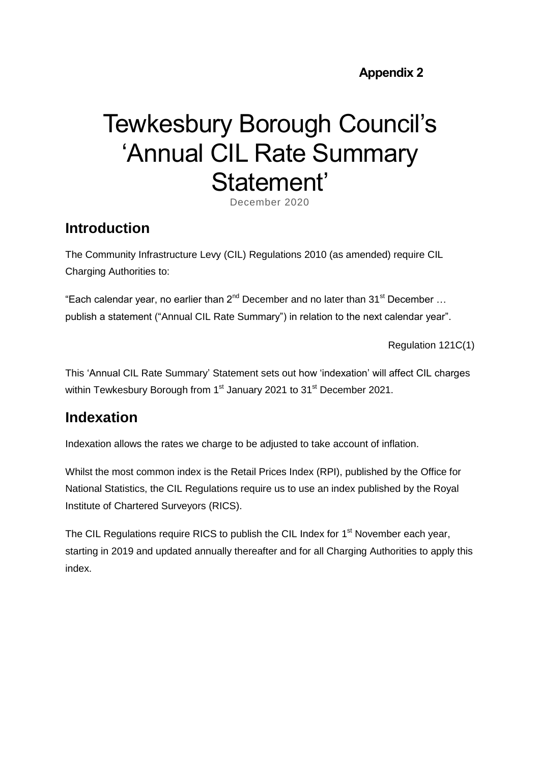**Appendix 2** 

# Tewkesbury Borough Council's 'Annual CIL Rate Summary Statement'

December 2020

#### **Introduction**

The Community Infrastructure Levy (CIL) Regulations 2010 (as amended) require CIL Charging Authorities to:

"Each calendar year, no earlier than  $2^{nd}$  December and no later than  $31^{st}$  December ... publish a statement ("Annual CIL Rate Summary") in relation to the next calendar year".

Regulation 121C(1)

This 'Annual CIL Rate Summary' Statement sets out how 'indexation' will affect CIL charges within Tewkesbury Borough from 1<sup>st</sup> January 2021 to 31<sup>st</sup> December 2021.

#### **Indexation**

Indexation allows the rates we charge to be adjusted to take account of inflation.

Whilst the most common index is the Retail Prices Index (RPI), published by the Office for National Statistics, the CIL Regulations require us to use an index published by the Royal Institute of Chartered Surveyors (RICS).

The CIL Regulations require RICS to publish the CIL Index for  $1<sup>st</sup>$  November each year, starting in 2019 and updated annually thereafter and for all Charging Authorities to apply this index.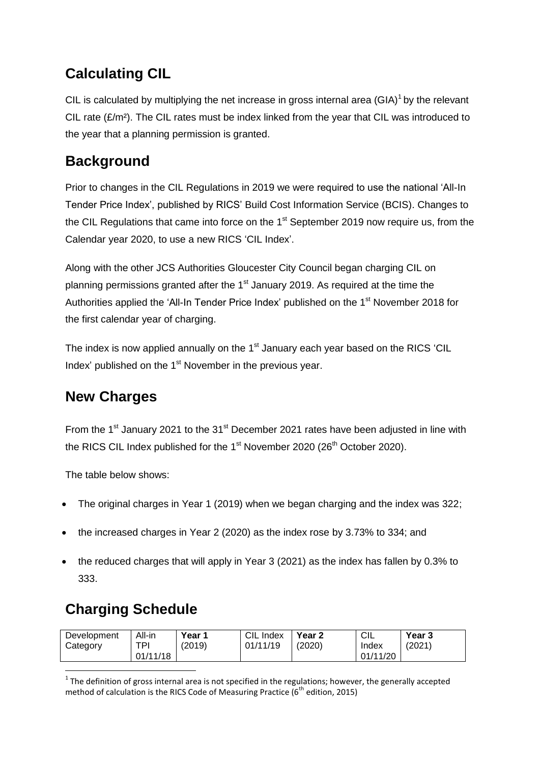## **Calculating CIL**

CIL is calculated by multiplying the net increase in gross internal area  $(GIA)^1$  by the relevant CIL rate  $(E/m<sup>2</sup>)$ . The CIL rates must be index linked from the year that CIL was introduced to the year that a planning permission is granted.

#### **Background**

Prior to changes in the CIL Regulations in 2019 we were required to use the national 'All-In Tender Price Index', published by RICS' Build Cost Information Service (BCIS). Changes to the CIL Regulations that came into force on the  $1<sup>st</sup>$  September 2019 now require us, from the Calendar year 2020, to use a new RICS 'CIL Index'.

Along with the other JCS Authorities Gloucester City Council began charging CIL on planning permissions granted after the 1<sup>st</sup> January 2019. As required at the time the Authorities applied the 'All-In Tender Price Index' published on the 1<sup>st</sup> November 2018 for the first calendar year of charging.

The index is now applied annually on the 1<sup>st</sup> January each year based on the RICS 'CIL Index' published on the 1<sup>st</sup> November in the previous year.

#### **New Charges**

From the 1<sup>st</sup> January 2021 to the 31<sup>st</sup> December 2021 rates have been adjusted in line with the RICS CIL Index published for the  $1<sup>st</sup>$  November 2020 (26<sup>th</sup> October 2020).

The table below shows:

- The original charges in Year 1 (2019) when we began charging and the index was 322;
- the increased charges in Year 2 (2020) as the index rose by 3.73% to 334; and
- the reduced charges that will apply in Year 3 (2021) as the index has fallen by 0.3% to 333.

## **Charging Schedule**

| Development | All-in   | Year 1 | CIL Index | Year <sub>2</sub> | CIL      | Year 3 |
|-------------|----------|--------|-----------|-------------------|----------|--------|
| Category    | TPI      | (2019) | 01/11/19  | (2020)            | Index    | (2021) |
|             | 01/11/18 |        |           |                   | 01/11/20 |        |

**<sup>.</sup>**  $1$  The definition of gross internal area is not specified in the regulations; however, the generally accepted method of calculation is the RICS Code of Measuring Practice ( $6<sup>th</sup>$  edition, 2015)